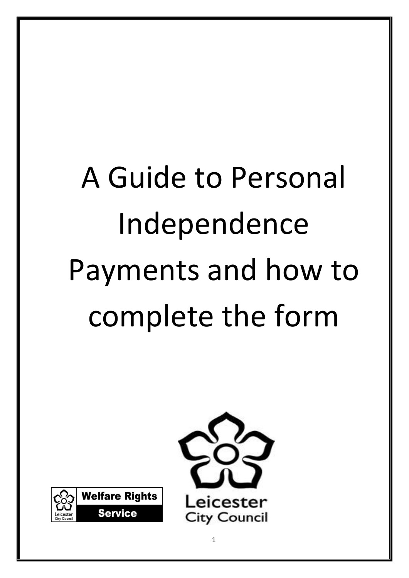# A Guide to Personal Independence Payments and how to complete the form



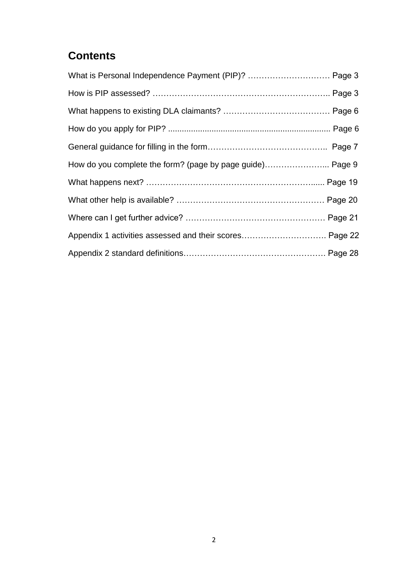# **Contents**

| What is Personal Independence Payment (PIP)?  Page 3      |  |
|-----------------------------------------------------------|--|
|                                                           |  |
|                                                           |  |
|                                                           |  |
|                                                           |  |
| How do you complete the form? (page by page guide) Page 9 |  |
|                                                           |  |
|                                                           |  |
|                                                           |  |
| Appendix 1 activities assessed and their scores Page 22   |  |
|                                                           |  |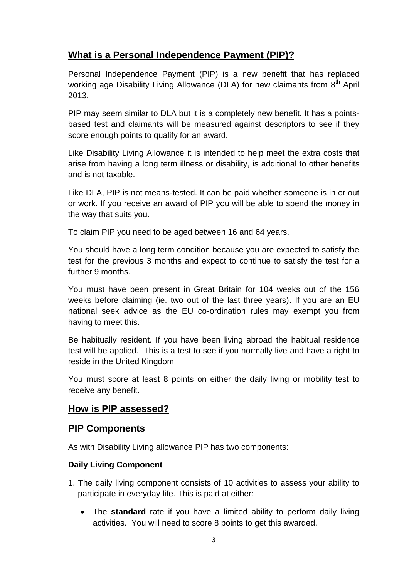# **What is a Personal Independence Payment (PIP)?**

Personal Independence Payment (PIP) is a new benefit that has replaced working age Disability Living Allowance (DLA) for new claimants from 8<sup>th</sup> April 2013.

PIP may seem similar to DLA but it is a completely new benefit. It has a pointsbased test and claimants will be measured against descriptors to see if they score enough points to qualify for an award.

Like Disability Living Allowance it is intended to help meet the extra costs that arise from having a long term illness or disability, is additional to other benefits and is not taxable.

Like DLA, PIP is not means-tested. It can be paid whether someone is in or out or work. If you receive an award of PIP you will be able to spend the money in the way that suits you.

To claim PIP you need to be aged between 16 and 64 years.

You should have a long term condition because you are expected to satisfy the test for the previous 3 months and expect to continue to satisfy the test for a further 9 months.

You must have been present in Great Britain for 104 weeks out of the 156 weeks before claiming (ie. two out of the last three years). If you are an EU national seek advice as the EU co-ordination rules may exempt you from having to meet this.

Be habitually resident. If you have been living abroad the habitual residence test will be applied. This is a test to see if you normally live and have a right to reside in the United Kingdom

You must score at least 8 points on either the daily living or mobility test to receive any benefit.

# **How is PIP assessed?**

# **PIP Components**

As with Disability Living allowance PIP has two components:

# **Daily Living Component**

- 1. The daily living component consists of 10 activities to assess your ability to participate in everyday life. This is paid at either:
	- The **standard** rate if you have a limited ability to perform daily living activities. You will need to score 8 points to get this awarded.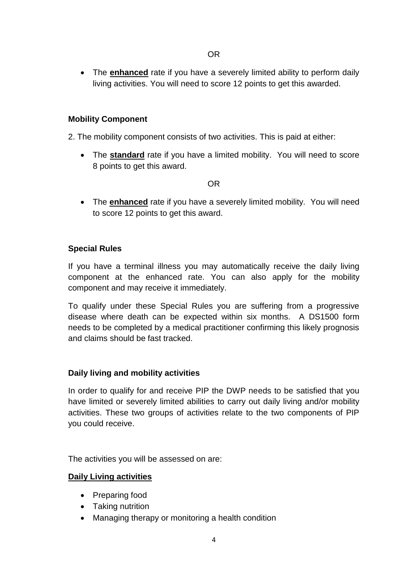The **enhanced** rate if you have a severely limited ability to perform daily living activities. You will need to score 12 points to get this awarded.

#### **Mobility Component**

2. The mobility component consists of two activities. This is paid at either:

 The **standard** rate if you have a limited mobility. You will need to score 8 points to get this award.

OR

 The **enhanced** rate if you have a severely limited mobility. You will need to score 12 points to get this award.

#### **Special Rules**

If you have a terminal illness you may automatically receive the daily living component at the enhanced rate. You can also apply for the mobility component and may receive it immediately.

To qualify under these Special Rules you are suffering from a progressive disease where death can be expected within six months. A DS1500 form needs to be completed by a medical practitioner confirming this likely prognosis and claims should be fast tracked.

#### **Daily living and mobility activities**

In order to qualify for and receive PIP the DWP needs to be satisfied that you have limited or severely limited abilities to carry out daily living and/or mobility activities. These two groups of activities relate to the two components of PIP you could receive.

The activities you will be assessed on are:

#### **Daily Living activities**

- Preparing food
- Taking nutrition
- Managing therapy or monitoring a health condition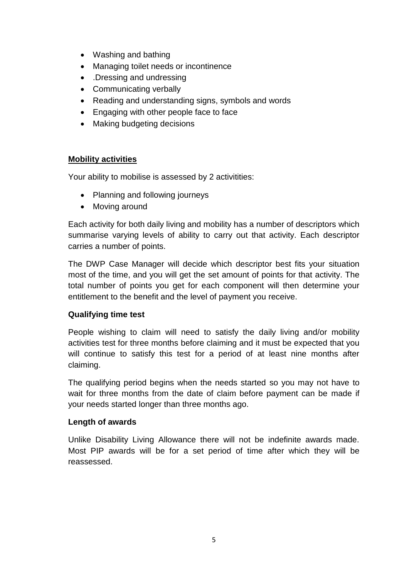- Washing and bathing
- Managing toilet needs or incontinence
- Dressing and undressing
- Communicating verbally
- Reading and understanding signs, symbols and words
- Engaging with other people face to face
- Making budgeting decisions

#### **Mobility activities**

Your ability to mobilise is assessed by 2 activitities:

- Planning and following journeys
- Moving around

Each activity for both daily living and mobility has a number of descriptors which summarise varying levels of ability to carry out that activity. Each descriptor carries a number of points.

The DWP Case Manager will decide which descriptor best fits your situation most of the time, and you will get the set amount of points for that activity. The total number of points you get for each component will then determine your entitlement to the benefit and the level of payment you receive.

#### **Qualifying time test**

People wishing to claim will need to satisfy the daily living and/or mobility activities test for three months before claiming and it must be expected that you will continue to satisfy this test for a period of at least nine months after claiming.

The qualifying period begins when the needs started so you may not have to wait for three months from the date of claim before payment can be made if your needs started longer than three months ago.

#### **Length of awards**

Unlike Disability Living Allowance there will not be indefinite awards made. Most PIP awards will be for a set period of time after which they will be reassessed.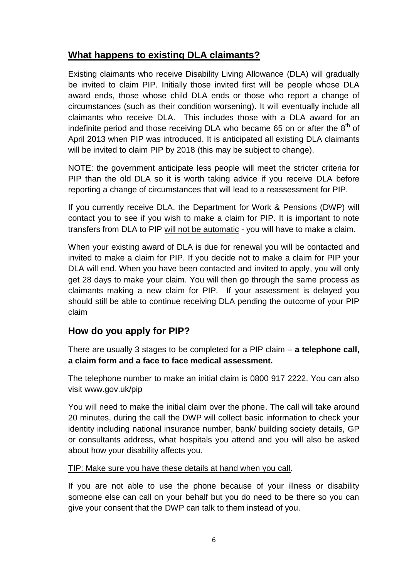# **What happens to existing DLA claimants?**

Existing claimants who receive Disability Living Allowance (DLA) will gradually be invited to claim PIP. Initially those invited first will be people whose DLA award ends, those whose child DLA ends or those who report a change of circumstances (such as their condition worsening). It will eventually include all claimants who receive DLA. This includes those with a DLA award for an indefinite period and those receiving DLA who became 65 on or after the  $8<sup>th</sup>$  of April 2013 when PIP was introduced. It is anticipated all existing DLA claimants will be invited to claim PIP by 2018 (this may be subject to change).

NOTE: the government anticipate less people will meet the stricter criteria for PIP than the old DLA so it is worth taking advice if you receive DLA before reporting a change of circumstances that will lead to a reassessment for PIP.

If you currently receive DLA, the Department for Work & Pensions (DWP) will contact you to see if you wish to make a claim for PIP. It is important to note transfers from DLA to PIP will not be automatic - you will have to make a claim.

When your existing award of DLA is due for renewal you will be contacted and invited to make a claim for PIP. If you decide not to make a claim for PIP your DLA will end. When you have been contacted and invited to apply, you will only get 28 days to make your claim. You will then go through the same process as claimants making a new claim for PIP. If your assessment is delayed you should still be able to continue receiving DLA pending the outcome of your PIP claim

# **How do you apply for PIP?**

There are usually 3 stages to be completed for a PIP claim – **a telephone call, a claim form and a face to face medical assessment.**

The telephone number to make an initial claim is 0800 917 2222. You can also visit www.gov.uk/pip

You will need to make the initial claim over the phone. The call will take around 20 minutes, during the call the DWP will collect basic information to check your identity including national insurance number, bank/ building society details, GP or consultants address, what hospitals you attend and you will also be asked about how your disability affects you.

# TIP: Make sure you have these details at hand when you call.

If you are not able to use the phone because of your illness or disability someone else can call on your behalf but you do need to be there so you can give your consent that the DWP can talk to them instead of you.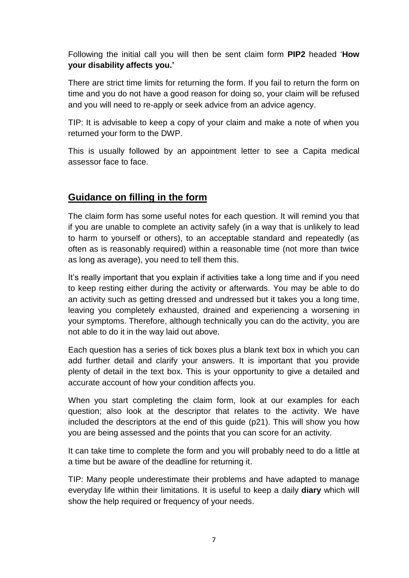Following the initial call you will then be sent claim form **PIP2** headed "**How your disability affects you.'**

There are strict time limits for returning the form. If you fail to return the form on time and you do not have a good reason for doing so, your claim will be refused and you will need to re-apply or seek advice from an advice agency.

TIP: It is advisable to keep a copy of your claim and make a note of when you returned your form to the DWP.

This is usually followed by an appointment letter to see a Capita medical assessor face to face.

# **Guidance on filling in the form**

The claim form has some useful notes for each question. It will remind you that if you are unable to complete an activity safely (in a way that is unlikely to lead to harm to yourself or others), to an acceptable standard and repeatedly (as often as is reasonably required) within a reasonable time (not more than twice as long as average), you need to tell them this.

It"s really important that you explain if activities take a long time and if you need to keep resting either during the activity or afterwards. You may be able to do an activity such as getting dressed and undressed but it takes you a long time, leaving you completely exhausted, drained and experiencing a worsening in your symptoms. Therefore, although technically you can do the activity, you are not able to do it in the way laid out above.

Each question has a series of tick boxes plus a blank text box in which you can add further detail and clarify your answers. It is important that you provide plenty of detail in the text box. This is your opportunity to give a detailed and accurate account of how your condition affects you.

When you start completing the claim form, look at our examples for each question; also look at the descriptor that relates to the activity. We have included the descriptors at the end of this guide (p21). This will show you how you are being assessed and the points that you can score for an activity.

It can take time to complete the form and you will probably need to do a little at a time but be aware of the deadline for returning it.

TIP: Many people underestimate their problems and have adapted to manage everyday life within their limitations. It is useful to keep a daily **diary** which will show the help required or frequency of your needs.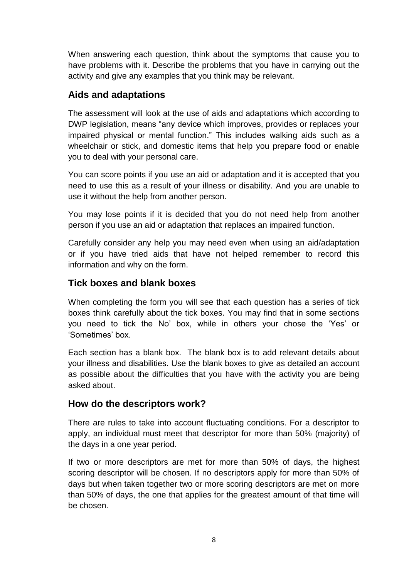When answering each question, think about the symptoms that cause you to have problems with it. Describe the problems that you have in carrying out the activity and give any examples that you think may be relevant.

# **Aids and adaptations**

The assessment will look at the use of aids and adaptations which according to DWP legislation, means "any device which improves, provides or replaces your impaired physical or mental function." This includes walking aids such as a wheelchair or stick, and domestic items that help you prepare food or enable you to deal with your personal care.

You can score points if you use an aid or adaptation and it is accepted that you need to use this as a result of your illness or disability. And you are unable to use it without the help from another person.

You may lose points if it is decided that you do not need help from another person if you use an aid or adaptation that replaces an impaired function.

Carefully consider any help you may need even when using an aid/adaptation or if you have tried aids that have not helped remember to record this information and why on the form.

# **Tick boxes and blank boxes**

When completing the form you will see that each question has a series of tick boxes think carefully about the tick boxes. You may find that in some sections you need to tick the No" box, while in others your chose the "Yes" or "Sometimes" box.

Each section has a blank box. The blank box is to add relevant details about your illness and disabilities. Use the blank boxes to give as detailed an account as possible about the difficulties that you have with the activity you are being asked about.

# **How do the descriptors work?**

There are rules to take into account fluctuating conditions. For a descriptor to apply, an individual must meet that descriptor for more than 50% (majority) of the days in a one year period.

If two or more descriptors are met for more than 50% of days, the highest scoring descriptor will be chosen. If no descriptors apply for more than 50% of days but when taken together two or more scoring descriptors are met on more than 50% of days, the one that applies for the greatest amount of that time will be chosen.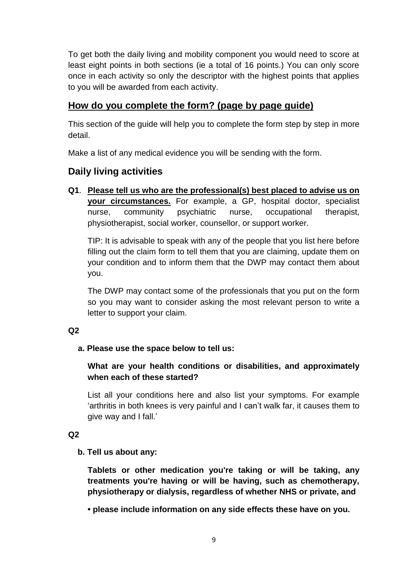To get both the daily living and mobility component you would need to score at least eight points in both sections (ie a total of 16 points.) You can only score once in each activity so only the descriptor with the highest points that applies to you will be awarded from each activity.

# **How do you complete the form? (page by page guide)**

This section of the guide will help you to complete the form step by step in more detail.

Make a list of any medical evidence you will be sending with the form.

# **Daily living activities**

**Q1**. **Please tell us who are the professional(s) best placed to advise us on your circumstances.** For example, a GP, hospital doctor, specialist nurse, community psychiatric nurse, occupational therapist, physiotherapist, social worker, counsellor, or support worker.

TIP: It is advisable to speak with any of the people that you list here before filling out the claim form to tell them that you are claiming, update them on your condition and to inform them that the DWP may contact them about you.

The DWP may contact some of the professionals that you put on the form so you may want to consider asking the most relevant person to write a letter to support your claim.

#### **Q2**

# **a. Please use the space below to tell us:**

# **What are your health conditions or disabilities, and approximately when each of these started?**

List all your conditions here and also list your symptoms. For example "arthritis in both knees is very painful and I can"t walk far, it causes them to give way and I fall."

# **Q2**

# **b. Tell us about any:**

**Tablets or other medication you're taking or will be taking, any treatments you're having or will be having, such as chemotherapy, physiotherapy or dialysis, regardless of whether NHS or private, and** 

**• please include information on any side effects these have on you.**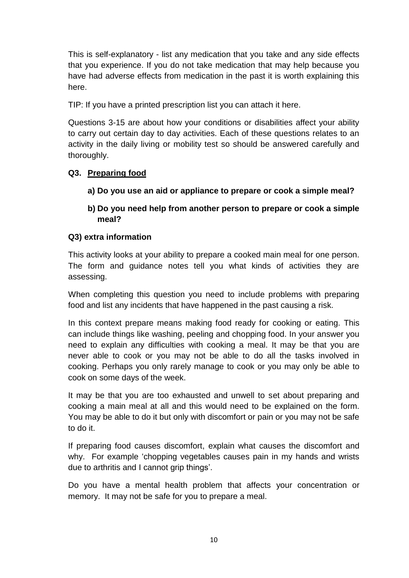This is self-explanatory - list any medication that you take and any side effects that you experience. If you do not take medication that may help because you have had adverse effects from medication in the past it is worth explaining this here.

TIP: If you have a printed prescription list you can attach it here.

Questions 3-15 are about how your conditions or disabilities affect your ability to carry out certain day to day activities. Each of these questions relates to an activity in the daily living or mobility test so should be answered carefully and thoroughly.

# **Q3. Preparing food**

- **a) Do you use an aid or appliance to prepare or cook a simple meal?**
- **b) Do you need help from another person to prepare or cook a simple meal?**

# **Q3) extra information**

This activity looks at your ability to prepare a cooked main meal for one person. The form and guidance notes tell you what kinds of activities they are assessing.

When completing this question you need to include problems with preparing food and list any incidents that have happened in the past causing a risk.

In this context prepare means making food ready for cooking or eating. This can include things like washing, peeling and chopping food. In your answer you need to explain any difficulties with cooking a meal. It may be that you are never able to cook or you may not be able to do all the tasks involved in cooking. Perhaps you only rarely manage to cook or you may only be able to cook on some days of the week.

It may be that you are too exhausted and unwell to set about preparing and cooking a main meal at all and this would need to be explained on the form. You may be able to do it but only with discomfort or pain or you may not be safe to do it.

If preparing food causes discomfort, explain what causes the discomfort and why. For example 'chopping vegetables causes pain in my hands and wrists due to arthritis and I cannot grip things".

Do you have a mental health problem that affects your concentration or memory. It may not be safe for you to prepare a meal.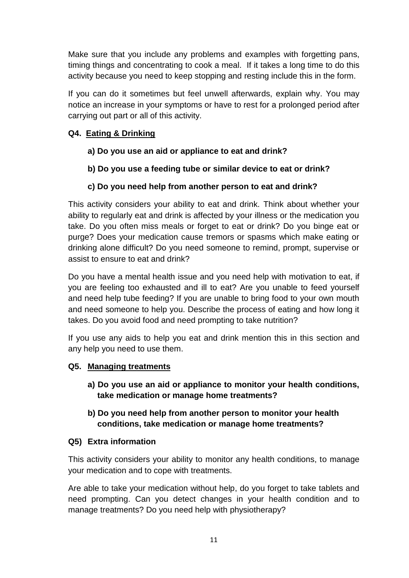Make sure that you include any problems and examples with forgetting pans, timing things and concentrating to cook a meal. If it takes a long time to do this activity because you need to keep stopping and resting include this in the form.

If you can do it sometimes but feel unwell afterwards, explain why. You may notice an increase in your symptoms or have to rest for a prolonged period after carrying out part or all of this activity.

# **Q4. Eating & Drinking**

- **a) Do you use an aid or appliance to eat and drink?**
- **b) Do you use a feeding tube or similar device to eat or drink?**
- **c) Do you need help from another person to eat and drink?**

This activity considers your ability to eat and drink. Think about whether your ability to regularly eat and drink is affected by your illness or the medication you take. Do you often miss meals or forget to eat or drink? Do you binge eat or purge? Does your medication cause tremors or spasms which make eating or drinking alone difficult? Do you need someone to remind, prompt, supervise or assist to ensure to eat and drink?

Do you have a mental health issue and you need help with motivation to eat, if you are feeling too exhausted and ill to eat? Are you unable to feed yourself and need help tube feeding? If you are unable to bring food to your own mouth and need someone to help you. Describe the process of eating and how long it takes. Do you avoid food and need prompting to take nutrition?

If you use any aids to help you eat and drink mention this in this section and any help you need to use them.

# **Q5. Managing treatments**

- **a) Do you use an aid or appliance to monitor your health conditions, take medication or manage home treatments?**
- **b) Do you need help from another person to monitor your health conditions, take medication or manage home treatments?**

# **Q5) Extra information**

This activity considers your ability to monitor any health conditions, to manage your medication and to cope with treatments.

Are able to take your medication without help, do you forget to take tablets and need prompting. Can you detect changes in your health condition and to manage treatments? Do you need help with physiotherapy?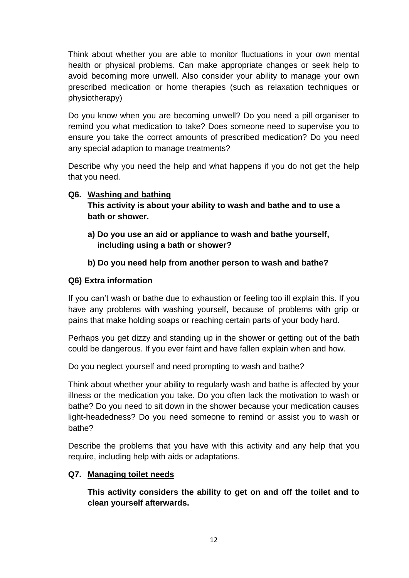Think about whether you are able to monitor fluctuations in your own mental health or physical problems. Can make appropriate changes or seek help to avoid becoming more unwell. Also consider your ability to manage your own prescribed medication or home therapies (such as relaxation techniques or physiotherapy)

Do you know when you are becoming unwell? Do you need a pill organiser to remind you what medication to take? Does someone need to supervise you to ensure you take the correct amounts of prescribed medication? Do you need any special adaption to manage treatments?

Describe why you need the help and what happens if you do not get the help that you need.

# **Q6. Washing and bathing**

**This activity is about your ability to wash and bathe and to use a bath or shower.**

**a) Do you use an aid or appliance to wash and bathe yourself, including using a bath or shower?** 

# **b) Do you need help from another person to wash and bathe?**

#### **Q6) Extra information**

If you can"t wash or bathe due to exhaustion or feeling too ill explain this. If you have any problems with washing yourself, because of problems with grip or pains that make holding soaps or reaching certain parts of your body hard.

Perhaps you get dizzy and standing up in the shower or getting out of the bath could be dangerous. If you ever faint and have fallen explain when and how.

Do you neglect yourself and need prompting to wash and bathe?

Think about whether your ability to regularly wash and bathe is affected by your illness or the medication you take. Do you often lack the motivation to wash or bathe? Do you need to sit down in the shower because your medication causes light-headedness? Do you need someone to remind or assist you to wash or bathe?

Describe the problems that you have with this activity and any help that you require, including help with aids or adaptations.

#### **Q7. Managing toilet needs**

**This activity considers the ability to get on and off the toilet and to clean yourself afterwards.**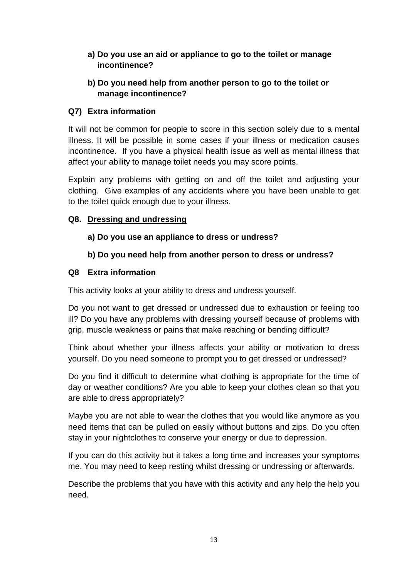#### **a) Do you use an aid or appliance to go to the toilet or manage incontinence?**

# **b) Do you need help from another person to go to the toilet or manage incontinence?**

# **Q7) Extra information**

It will not be common for people to score in this section solely due to a mental illness. It will be possible in some cases if your illness or medication causes incontinence. If you have a physical health issue as well as mental illness that affect your ability to manage toilet needs you may score points.

Explain any problems with getting on and off the toilet and adjusting your clothing. Give examples of any accidents where you have been unable to get to the toilet quick enough due to your illness.

# **Q8. Dressing and undressing**

# **a) Do you use an appliance to dress or undress?**

# **b) Do you need help from another person to dress or undress?**

# **Q8 Extra information**

This activity looks at your ability to dress and undress yourself.

Do you not want to get dressed or undressed due to exhaustion or feeling too ill? Do you have any problems with dressing yourself because of problems with grip, muscle weakness or pains that make reaching or bending difficult?

Think about whether your illness affects your ability or motivation to dress yourself. Do you need someone to prompt you to get dressed or undressed?

Do you find it difficult to determine what clothing is appropriate for the time of day or weather conditions? Are you able to keep your clothes clean so that you are able to dress appropriately?

Maybe you are not able to wear the clothes that you would like anymore as you need items that can be pulled on easily without buttons and zips. Do you often stay in your nightclothes to conserve your energy or due to depression.

If you can do this activity but it takes a long time and increases your symptoms me. You may need to keep resting whilst dressing or undressing or afterwards.

Describe the problems that you have with this activity and any help the help you need.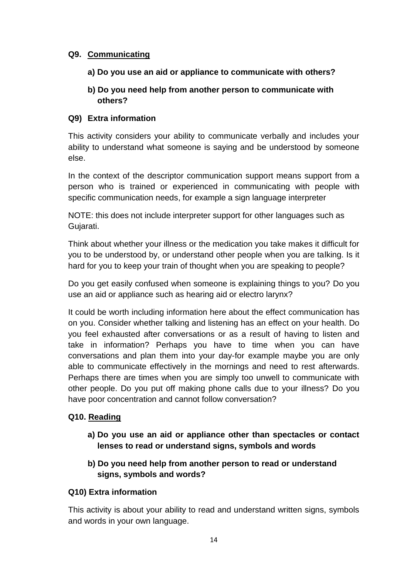## **Q9. Communicating**

- **a) Do you use an aid or appliance to communicate with others?**
- **b) Do you need help from another person to communicate with others?**

#### **Q9) Extra information**

This activity considers your ability to communicate verbally and includes your ability to understand what someone is saying and be understood by someone else.

In the context of the descriptor communication support means support from a person who is trained or experienced in communicating with people with specific communication needs, for example a sign language interpreter

NOTE: this does not include interpreter support for other languages such as Gujarati.

Think about whether your illness or the medication you take makes it difficult for you to be understood by, or understand other people when you are talking. Is it hard for you to keep your train of thought when you are speaking to people?

Do you get easily confused when someone is explaining things to you? Do you use an aid or appliance such as hearing aid or electro larynx?

It could be worth including information here about the effect communication has on you. Consider whether talking and listening has an effect on your health. Do you feel exhausted after conversations or as a result of having to listen and take in information? Perhaps you have to time when you can have conversations and plan them into your day-for example maybe you are only able to communicate effectively in the mornings and need to rest afterwards. Perhaps there are times when you are simply too unwell to communicate with other people. Do you put off making phone calls due to your illness? Do you have poor concentration and cannot follow conversation?

# **Q10. Reading**

- **a) Do you use an aid or appliance other than spectacles or contact lenses to read or understand signs, symbols and words**
- **b) Do you need help from another person to read or understand signs, symbols and words?**

# **Q10) Extra information**

This activity is about your ability to read and understand written signs, symbols and words in your own language.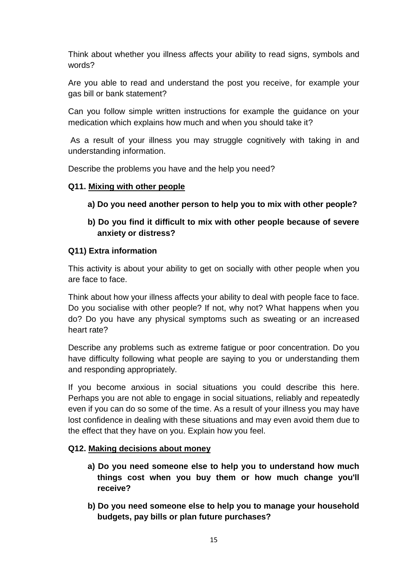Think about whether you illness affects your ability to read signs, symbols and words?

Are you able to read and understand the post you receive, for example your gas bill or bank statement?

Can you follow simple written instructions for example the guidance on your medication which explains how much and when you should take it?

As a result of your illness you may struggle cognitively with taking in and understanding information.

Describe the problems you have and the help you need?

# **Q11. Mixing with other people**

- **a) Do you need another person to help you to mix with other people?**
- **b) Do you find it difficult to mix with other people because of severe anxiety or distress?**

#### **Q11) Extra information**

This activity is about your ability to get on socially with other people when you are face to face.

Think about how your illness affects your ability to deal with people face to face. Do you socialise with other people? If not, why not? What happens when you do? Do you have any physical symptoms such as sweating or an increased heart rate?

Describe any problems such as extreme fatigue or poor concentration. Do you have difficulty following what people are saying to you or understanding them and responding appropriately.

If you become anxious in social situations you could describe this here. Perhaps you are not able to engage in social situations, reliably and repeatedly even if you can do so some of the time. As a result of your illness you may have lost confidence in dealing with these situations and may even avoid them due to the effect that they have on you. Explain how you feel.

# **Q12. Making decisions about money**

- **a) Do you need someone else to help you to understand how much things cost when you buy them or how much change you'll receive?**
- **b) Do you need someone else to help you to manage your household budgets, pay bills or plan future purchases?**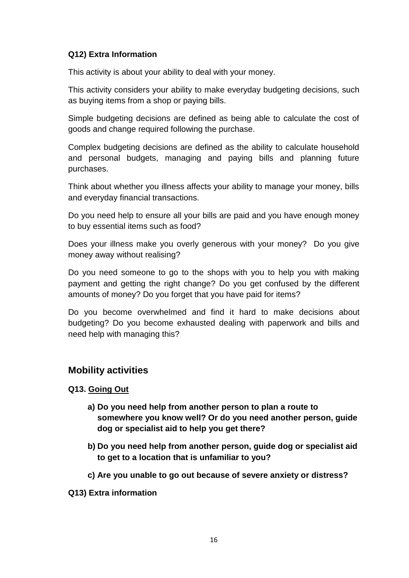#### **Q12) Extra Information**

This activity is about your ability to deal with your money.

This activity considers your ability to make everyday budgeting decisions, such as buying items from a shop or paying bills.

Simple budgeting decisions are defined as being able to calculate the cost of goods and change required following the purchase.

Complex budgeting decisions are defined as the ability to calculate household and personal budgets, managing and paying bills and planning future purchases.

Think about whether you illness affects your ability to manage your money, bills and everyday financial transactions.

Do you need help to ensure all your bills are paid and you have enough money to buy essential items such as food?

Does your illness make you overly generous with your money? Do you give money away without realising?

Do you need someone to go to the shops with you to help you with making payment and getting the right change? Do you get confused by the different amounts of money? Do you forget that you have paid for items?

Do you become overwhelmed and find it hard to make decisions about budgeting? Do you become exhausted dealing with paperwork and bills and need help with managing this?

# **Mobility activities**

#### **Q13. Going Out**

- **a) Do you need help from another person to plan a route to somewhere you know well? Or do you need another person, guide dog or specialist aid to help you get there?**
- **b) Do you need help from another person, guide dog or specialist aid to get to a location that is unfamiliar to you?**
- **c) Are you unable to go out because of severe anxiety or distress?**

**Q13) Extra information**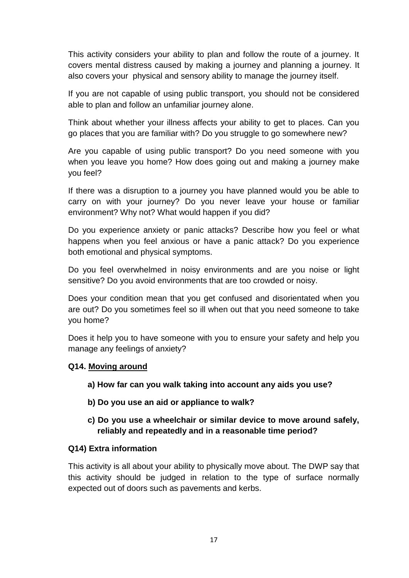This activity considers your ability to plan and follow the route of a journey. It covers mental distress caused by making a journey and planning a journey. It also covers your physical and sensory ability to manage the journey itself.

If you are not capable of using public transport, you should not be considered able to plan and follow an unfamiliar journey alone.

Think about whether your illness affects your ability to get to places. Can you go places that you are familiar with? Do you struggle to go somewhere new?

Are you capable of using public transport? Do you need someone with you when you leave you home? How does going out and making a journey make you feel?

If there was a disruption to a journey you have planned would you be able to carry on with your journey? Do you never leave your house or familiar environment? Why not? What would happen if you did?

Do you experience anxiety or panic attacks? Describe how you feel or what happens when you feel anxious or have a panic attack? Do you experience both emotional and physical symptoms.

Do you feel overwhelmed in noisy environments and are you noise or light sensitive? Do you avoid environments that are too crowded or noisy.

Does your condition mean that you get confused and disorientated when you are out? Do you sometimes feel so ill when out that you need someone to take you home?

Does it help you to have someone with you to ensure your safety and help you manage any feelings of anxiety?

# **Q14. Moving around**

- **a) How far can you walk taking into account any aids you use?**
- **b) Do you use an aid or appliance to walk?**
- **c) Do you use a wheelchair or similar device to move around safely, reliably and repeatedly and in a reasonable time period?**

# **Q14) Extra information**

This activity is all about your ability to physically move about. The DWP say that this activity should be judged in relation to the type of surface normally expected out of doors such as pavements and kerbs.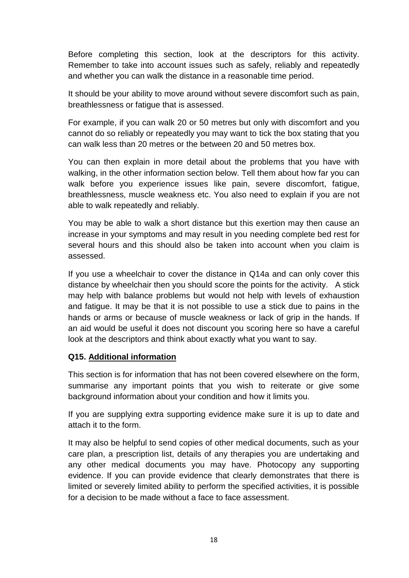Before completing this section, look at the descriptors for this activity. Remember to take into account issues such as safely, reliably and repeatedly and whether you can walk the distance in a reasonable time period.

It should be your ability to move around without severe discomfort such as pain, breathlessness or fatigue that is assessed.

For example, if you can walk 20 or 50 metres but only with discomfort and you cannot do so reliably or repeatedly you may want to tick the box stating that you can walk less than 20 metres or the between 20 and 50 metres box.

You can then explain in more detail about the problems that you have with walking, in the other information section below. Tell them about how far you can walk before you experience issues like pain, severe discomfort, fatigue, breathlessness, muscle weakness etc. You also need to explain if you are not able to walk repeatedly and reliably.

You may be able to walk a short distance but this exertion may then cause an increase in your symptoms and may result in you needing complete bed rest for several hours and this should also be taken into account when you claim is assessed.

If you use a wheelchair to cover the distance in Q14a and can only cover this distance by wheelchair then you should score the points for the activity. A stick may help with balance problems but would not help with levels of exhaustion and fatigue. It may be that it is not possible to use a stick due to pains in the hands or arms or because of muscle weakness or lack of grip in the hands. If an aid would be useful it does not discount you scoring here so have a careful look at the descriptors and think about exactly what you want to say.

# **Q15. Additional information**

This section is for information that has not been covered elsewhere on the form, summarise any important points that you wish to reiterate or give some background information about your condition and how it limits you.

If you are supplying extra supporting evidence make sure it is up to date and attach it to the form.

It may also be helpful to send copies of other medical documents, such as your care plan, a prescription list, details of any therapies you are undertaking and any other medical documents you may have. Photocopy any supporting evidence. If you can provide evidence that clearly demonstrates that there is limited or severely limited ability to perform the specified activities, it is possible for a decision to be made without a face to face assessment.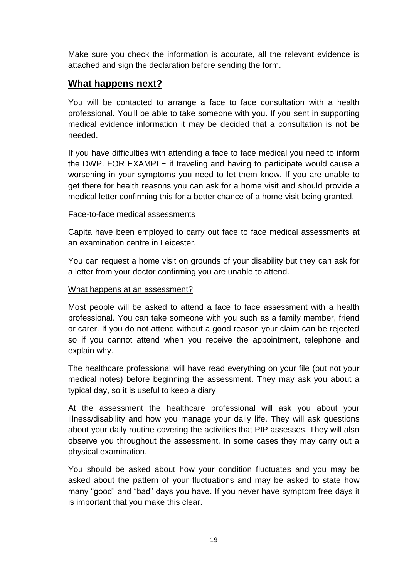Make sure you check the information is accurate, all the relevant evidence is attached and sign the declaration before sending the form.

# **What happens next?**

You will be contacted to arrange a face to face consultation with a health professional. You'll be able to take someone with you. If you sent in supporting medical evidence information it may be decided that a consultation is not be needed.

If you have difficulties with attending a face to face medical you need to inform the DWP. FOR EXAMPLE if traveling and having to participate would cause a worsening in your symptoms you need to let them know. If you are unable to get there for health reasons you can ask for a home visit and should provide a medical letter confirming this for a better chance of a home visit being granted.

# Face-to-face medical assessments

Capita have been employed to carry out face to face medical assessments at an examination centre in Leicester.

You can request a home visit on grounds of your disability but they can ask for a letter from your doctor confirming you are unable to attend.

# What happens at an assessment?

Most people will be asked to attend a face to face assessment with a health professional. You can take someone with you such as a family member, friend or carer. If you do not attend without a good reason your claim can be rejected so if you cannot attend when you receive the appointment, telephone and explain why.

The healthcare professional will have read everything on your file (but not your medical notes) before beginning the assessment. They may ask you about a typical day, so it is useful to keep a diary

At the assessment the healthcare professional will ask you about your illness/disability and how you manage your daily life. They will ask questions about your daily routine covering the activities that PIP assesses. They will also observe you throughout the assessment. In some cases they may carry out a physical examination.

You should be asked about how your condition fluctuates and you may be asked about the pattern of your fluctuations and may be asked to state how many "good" and "bad" days you have. If you never have symptom free days it is important that you make this clear.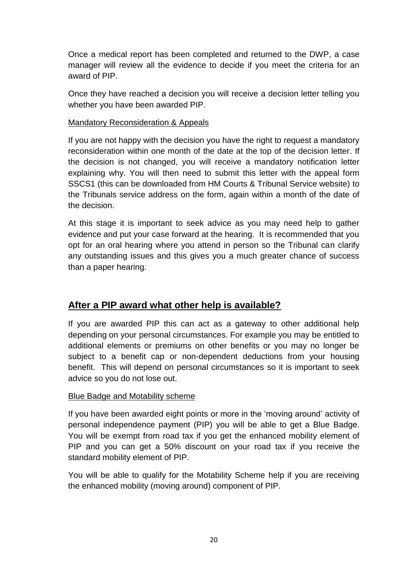Once a medical report has been completed and returned to the DWP, a case manager will review all the evidence to decide if you meet the criteria for an award of PIP.

Once they have reached a decision you will receive a decision letter telling you whether you have been awarded PIP.

#### Mandatory Reconsideration & Appeals

If you are not happy with the decision you have the right to request a mandatory reconsideration within one month of the date at the top of the decision letter. If the decision is not changed, you will receive a mandatory notification letter explaining why. You will then need to submit this letter with the appeal form SSCS1 (this can be downloaded from HM Courts & Tribunal Service website) to the Tribunals service address on the form, again within a month of the date of the decision.

At this stage it is important to seek advice as you may need help to gather evidence and put your case forward at the hearing. It is recommended that you opt for an oral hearing where you attend in person so the Tribunal can clarify any outstanding issues and this gives you a much greater chance of success than a paper hearing.

# **After a PIP award what other help is available?**

If you are awarded PIP this can act as a gateway to other additional help depending on your personal circumstances. For example you may be entitled to additional elements or premiums on other benefits or you may no longer be subject to a benefit cap or non-dependent deductions from your housing benefit. This will depend on personal circumstances so it is important to seek advice so you do not lose out.

# Blue Badge and Motability scheme

If you have been awarded eight points or more in the "moving around" activity of personal independence payment (PIP) you will be able to get a Blue Badge. You will be exempt from road tax if you get the enhanced mobility element of PIP and you can get a 50% discount on your road tax if you receive the standard mobility element of PIP.

You will be able to qualify for the Motability Scheme help if you are receiving the enhanced mobility (moving around) component of PIP.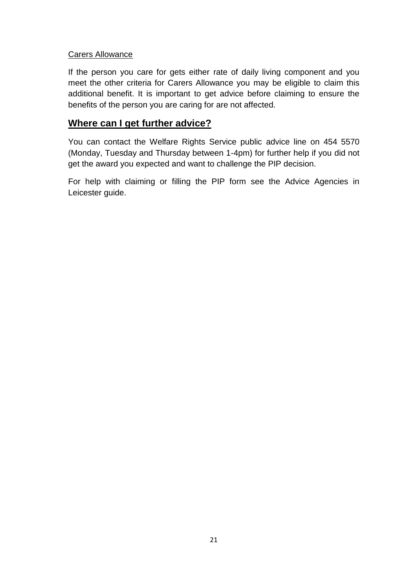#### Carers Allowance

If the person you care for gets either rate of daily living component and you meet the other criteria for Carers Allowance you may be eligible to claim this additional benefit. It is important to get advice before claiming to ensure the benefits of the person you are caring for are not affected.

# **Where can I get further advice?**

You can contact the Welfare Rights Service public advice line on 454 5570 (Monday, Tuesday and Thursday between 1-4pm) for further help if you did not get the award you expected and want to challenge the PIP decision.

For help with claiming or filling the PIP form see the Advice Agencies in Leicester guide.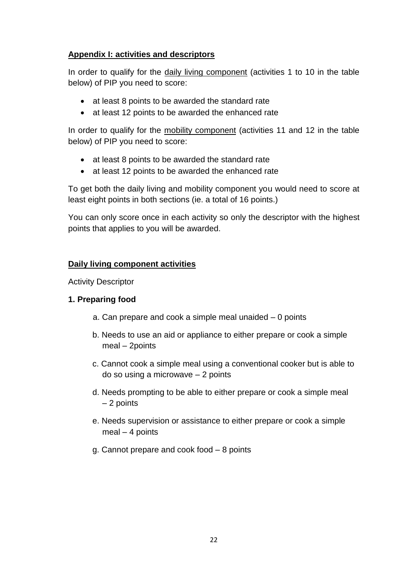# **Appendix I: activities and descriptors**

In order to qualify for the daily living component (activities 1 to 10 in the table below) of PIP you need to score:

- at least 8 points to be awarded the standard rate
- at least 12 points to be awarded the enhanced rate

In order to qualify for the mobility component (activities 11 and 12 in the table below) of PIP you need to score:

- at least 8 points to be awarded the standard rate
- at least 12 points to be awarded the enhanced rate

To get both the daily living and mobility component you would need to score at least eight points in both sections (ie. a total of 16 points.)

You can only score once in each activity so only the descriptor with the highest points that applies to you will be awarded.

# **Daily living component activities**

Activity Descriptor

# **1. Preparing food**

- a. Can prepare and cook a simple meal unaided 0 points
- b. Needs to use an aid or appliance to either prepare or cook a simple meal – 2points
- c. Cannot cook a simple meal using a conventional cooker but is able to do so using a microwave – 2 points
- d. Needs prompting to be able to either prepare or cook a simple meal – 2 points
- e. Needs supervision or assistance to either prepare or cook a simple meal – 4 points
- g. Cannot prepare and cook food 8 points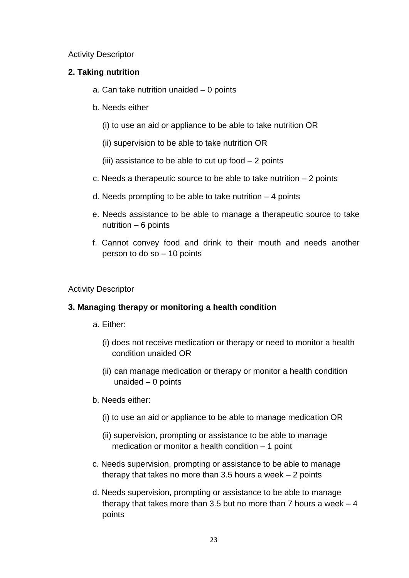#### Activity Descriptor

#### **2. Taking nutrition**

- a. Can take nutrition unaided 0 points
- b. Needs either
	- (i) to use an aid or appliance to be able to take nutrition OR
	- (ii) supervision to be able to take nutrition OR
	- (iii) assistance to be able to cut up food  $-2$  points
- c. Needs a therapeutic source to be able to take nutrition 2 points
- d. Needs prompting to be able to take nutrition  $-4$  points
- e. Needs assistance to be able to manage a therapeutic source to take nutrition – 6 points
- f. Cannot convey food and drink to their mouth and needs another person to do so – 10 points

#### Activity Descriptor

#### **3. Managing therapy or monitoring a health condition**

a. Either:

- (i) does not receive medication or therapy or need to monitor a health condition unaided OR
- (ii) can manage medication or therapy or monitor a health condition unaided – 0 points
- b. Needs either:
	- (i) to use an aid or appliance to be able to manage medication OR
	- (ii) supervision, prompting or assistance to be able to manage medication or monitor a health condition – 1 point
- c. Needs supervision, prompting or assistance to be able to manage therapy that takes no more than  $3.5$  hours a week  $-2$  points
- d. Needs supervision, prompting or assistance to be able to manage therapy that takes more than 3.5 but no more than  $7$  hours a week  $-4$ points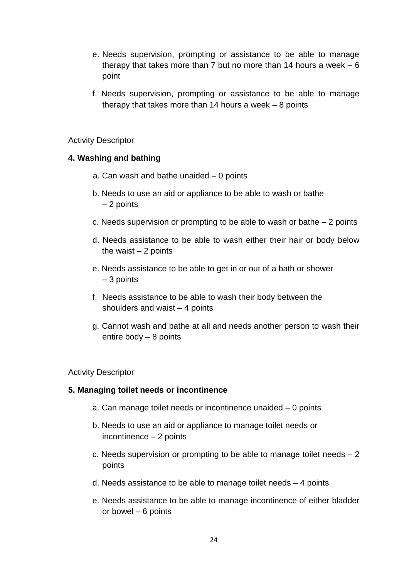- e. Needs supervision, prompting or assistance to be able to manage therapy that takes more than  $7$  but no more than 14 hours a week  $-6$ point
- f. Needs supervision, prompting or assistance to be able to manage therapy that takes more than 14 hours a week – 8 points

#### Activity Descriptor

#### **4. Washing and bathing**

- a. Can wash and bathe unaided 0 points
- b. Needs to use an aid or appliance to be able to wash or bathe – 2 points
- c. Needs supervision or prompting to be able to wash or bathe 2 points
- d. Needs assistance to be able to wash either their hair or body below the waist  $-2$  points
- e. Needs assistance to be able to get in or out of a bath or shower – 3 points
- f. Needs assistance to be able to wash their body between the shoulders and waist  $-4$  points
- g. Cannot wash and bathe at all and needs another person to wash their entire body – 8 points

#### Activity Descriptor

#### **5. Managing toilet needs or incontinence**

- a. Can manage toilet needs or incontinence unaided 0 points
- b. Needs to use an aid or appliance to manage toilet needs or incontinence – 2 points
- c. Needs supervision or prompting to be able to manage toilet needs  $-2$ points
- d. Needs assistance to be able to manage toilet needs 4 points
- e. Needs assistance to be able to manage incontinence of either bladder or bowel – 6 points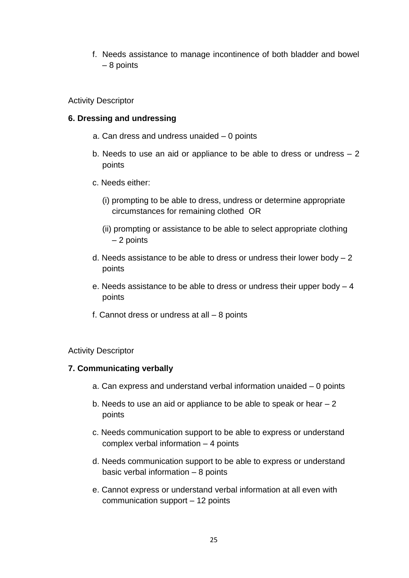f. Needs assistance to manage incontinence of both bladder and bowel – 8 points

Activity Descriptor

#### **6. Dressing and undressing**

- a. Can dress and undress unaided 0 points
- b. Needs to use an aid or appliance to be able to dress or undress 2 points
- c. Needs either:
	- (i) prompting to be able to dress, undress or determine appropriate circumstances for remaining clothed OR
	- (ii) prompting or assistance to be able to select appropriate clothing – 2 points
- d. Needs assistance to be able to dress or undress their lower body  $-2$ points
- e. Needs assistance to be able to dress or undress their upper body 4 points
- f. Cannot dress or undress at all 8 points

#### Activity Descriptor

#### **7. Communicating verbally**

- a. Can express and understand verbal information unaided 0 points
- b. Needs to use an aid or appliance to be able to speak or hear 2 points
- c. Needs communication support to be able to express or understand complex verbal information – 4 points
- d. Needs communication support to be able to express or understand basic verbal information – 8 points
- e. Cannot express or understand verbal information at all even with communication support – 12 points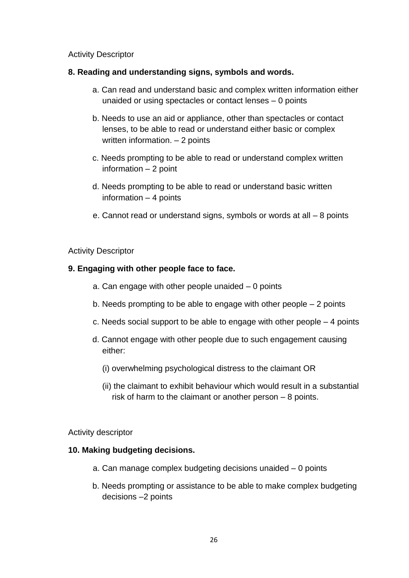#### Activity Descriptor

#### **8. Reading and understanding signs, symbols and words.**

- a. Can read and understand basic and complex written information either unaided or using spectacles or contact lenses – 0 points
- b. Needs to use an aid or appliance, other than spectacles or contact lenses, to be able to read or understand either basic or complex written information. – 2 points
- c. Needs prompting to be able to read or understand complex written information – 2 point
- d. Needs prompting to be able to read or understand basic written information – 4 points
- e. Cannot read or understand signs, symbols or words at all 8 points

#### Activity Descriptor

#### **9. Engaging with other people face to face.**

- a. Can engage with other people unaided  $-0$  points
- b. Needs prompting to be able to engage with other people 2 points
- c. Needs social support to be able to engage with other people 4 points
- d. Cannot engage with other people due to such engagement causing either:
	- (i) overwhelming psychological distress to the claimant OR
	- (ii) the claimant to exhibit behaviour which would result in a substantial risk of harm to the claimant or another person – 8 points.

#### Activity descriptor

#### **10. Making budgeting decisions.**

- a. Can manage complex budgeting decisions unaided 0 points
- b. Needs prompting or assistance to be able to make complex budgeting decisions –2 points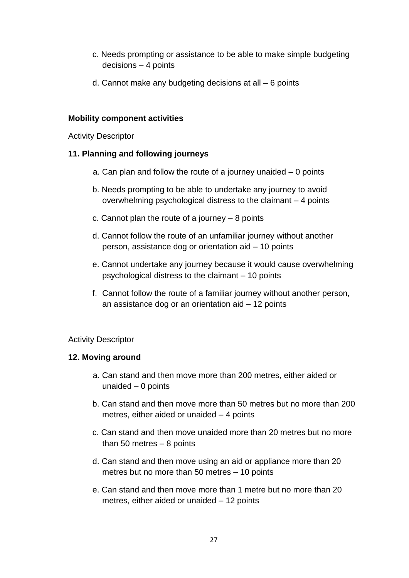- c. Needs prompting or assistance to be able to make simple budgeting decisions – 4 points
- d. Cannot make any budgeting decisions at all 6 points

#### **Mobility component activities**

Activity Descriptor

#### **11. Planning and following journeys**

- a. Can plan and follow the route of a journey unaided 0 points
- b. Needs prompting to be able to undertake any journey to avoid overwhelming psychological distress to the claimant – 4 points
- c. Cannot plan the route of a journey 8 points
- d. Cannot follow the route of an unfamiliar journey without another person, assistance dog or orientation aid – 10 points
- e. Cannot undertake any journey because it would cause overwhelming psychological distress to the claimant – 10 points
- f. Cannot follow the route of a familiar journey without another person, an assistance dog or an orientation aid – 12 points

# Activity Descriptor

#### **12. Moving around**

- a. Can stand and then move more than 200 metres, either aided or unaided – 0 points
- b. Can stand and then move more than 50 metres but no more than 200 metres, either aided or unaided – 4 points
- c. Can stand and then move unaided more than 20 metres but no more than 50 metres  $-8$  points
- d. Can stand and then move using an aid or appliance more than 20 metres but no more than 50 metres – 10 points
- e. Can stand and then move more than 1 metre but no more than 20 metres, either aided or unaided – 12 points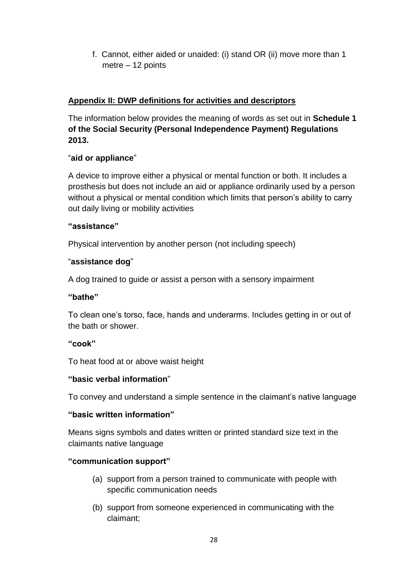f. Cannot, either aided or unaided: (i) stand OR (ii) move more than 1 metre – 12 points

# **Appendix II: DWP definitions for activities and descriptors**

The information below provides the meaning of words as set out in **Schedule 1 of the Social Security (Personal Independence Payment) Regulations 2013.**

# "**aid or appliance**"

A device to improve either a physical or mental function or both. It includes a prosthesis but does not include an aid or appliance ordinarily used by a person without a physical or mental condition which limits that person's ability to carry out daily living or mobility activities

# **"assistance"**

Physical intervention by another person (not including speech)

# "**assistance dog**"

A dog trained to guide or assist a person with a sensory impairment

# **"bathe"**

To clean one"s torso, face, hands and underarms. Includes getting in or out of the bath or shower.

# **"cook"**

To heat food at or above waist height

# **"basic verbal information**"

To convey and understand a simple sentence in the claimant"s native language

# **"basic written information"**

Means signs symbols and dates written or printed standard size text in the claimants native language

# **"communication support"**

- (a) support from a person trained to communicate with people with specific communication needs
- (b) support from someone experienced in communicating with the claimant;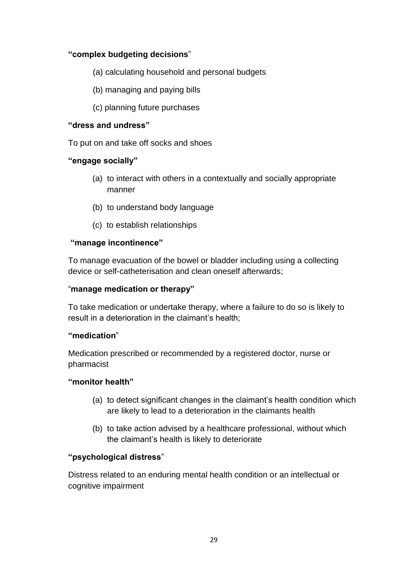# **"complex budgeting decisions**"

- (a) calculating household and personal budgets
- (b) managing and paying bills
- (c) planning future purchases

# **"dress and undress"**

To put on and take off socks and shoes

# **"engage socially"**

- (a) to interact with others in a contextually and socially appropriate manner
- (b) to understand body language
- (c) to establish relationships

# **"manage incontinence"**

To manage evacuation of the bowel or bladder including using a collecting device or self-catheterisation and clean oneself afterwards;

# "**manage medication or therapy"**

To take medication or undertake therapy, where a failure to do so is likely to result in a deterioration in the claimant's health:

# **"medication**"

Medication prescribed or recommended by a registered doctor, nurse or pharmacist

# **"monitor health"**

- (a) to detect significant changes in the claimant"s health condition which are likely to lead to a deterioration in the claimants health
- (b) to take action advised by a healthcare professional, without which the claimant"s health is likely to deteriorate

# **"psychological distress**"

Distress related to an enduring mental health condition or an intellectual or cognitive impairment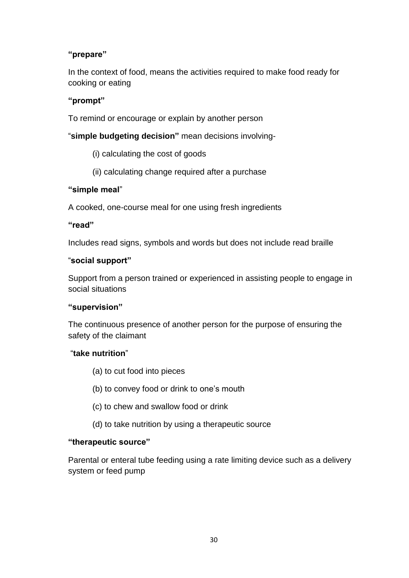# **"prepare"**

In the context of food, means the activities required to make food ready for cooking or eating

# **"prompt"**

To remind or encourage or explain by another person

"**simple budgeting decision"** mean decisions involving-

- (i) calculating the cost of goods
- (ii) calculating change required after a purchase

# **"simple meal**"

A cooked, one-course meal for one using fresh ingredients

# **"read"**

Includes read signs, symbols and words but does not include read braille

# "**social support"**

Support from a person trained or experienced in assisting people to engage in social situations

# **"supervision"**

The continuous presence of another person for the purpose of ensuring the safety of the claimant

# "**take nutrition**"

- (a) to cut food into pieces
- (b) to convey food or drink to one"s mouth
- (c) to chew and swallow food or drink
- (d) to take nutrition by using a therapeutic source

# **"therapeutic source"**

Parental or enteral tube feeding using a rate limiting device such as a delivery system or feed pump